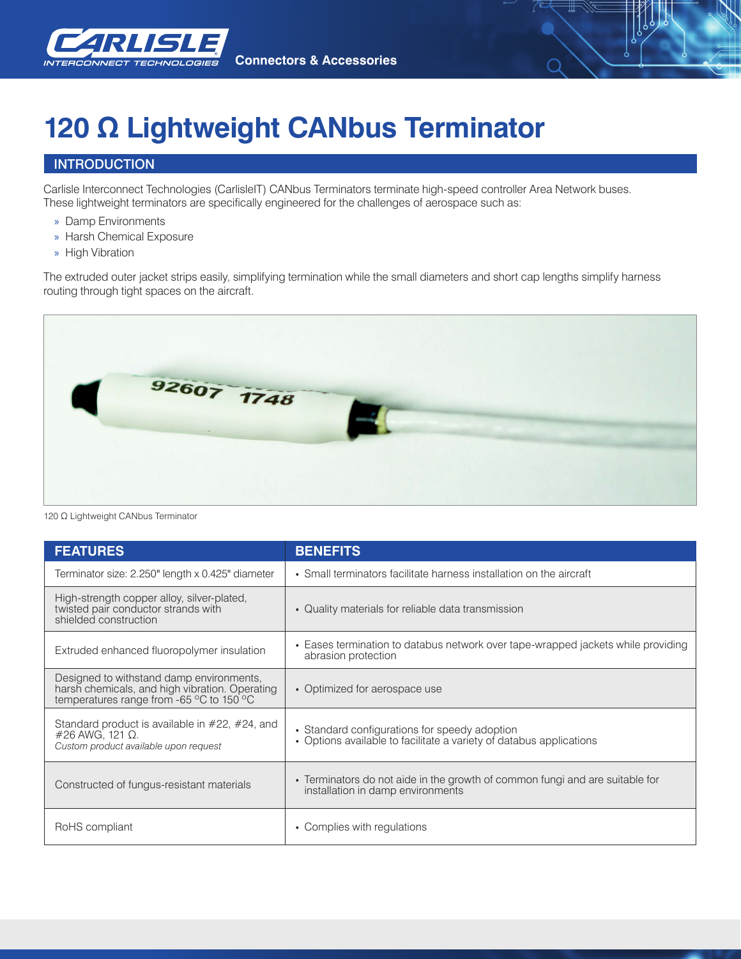

# **120 Ω Lightweight CANbus Terminator**

#### **INTRODUCTION**

Carlisle Interconnect Technologies (CarlisleIT) CANbus Terminators terminate high-speed controller Area Network buses. These lightweight terminators are specifically engineered for the challenges of aerospace such as:

- » Damp Environments
- » Harsh Chemical Exposure
- » High Vibration

The extruded outer jacket strips easily, simplifying termination while the small diameters and short cap lengths simplify harness routing through tight spaces on the aircraft.



120 Ω Lightweight CANbus Terminator

| <b>FEATURES</b>                                                                                                                        | <b>BENEFITS</b>                                                                                                      |
|----------------------------------------------------------------------------------------------------------------------------------------|----------------------------------------------------------------------------------------------------------------------|
| Terminator size: 2.250" length x 0.425" diameter                                                                                       | • Small terminators facilitate harness installation on the aircraft                                                  |
| High-strength copper alloy, silver-plated,<br>twisted pair conductor strands with<br>shielded construction                             | • Quality materials for reliable data transmission                                                                   |
| Extruded enhanced fluoropolymer insulation                                                                                             | • Eases termination to databus network over tape-wrapped jackets while providing<br>abrasion protection              |
| Designed to withstand damp environments,<br>harsh chemicals, and high vibration. Operating<br>temperatures range from -65 °C to 150 °C | • Optimized for aerospace use                                                                                        |
| Standard product is available in $#22$ , $#24$ , and<br>#26 AWG, 121 Ω.<br>Custom product available upon request                       | • Standard configurations for speedy adoption<br>• Options available to facilitate a variety of databus applications |
| Constructed of fungus-resistant materials                                                                                              | • Terminators do not aide in the growth of common fungi and are suitable for<br>installation in damp environments    |
| RoHS compliant                                                                                                                         | • Complies with regulations                                                                                          |